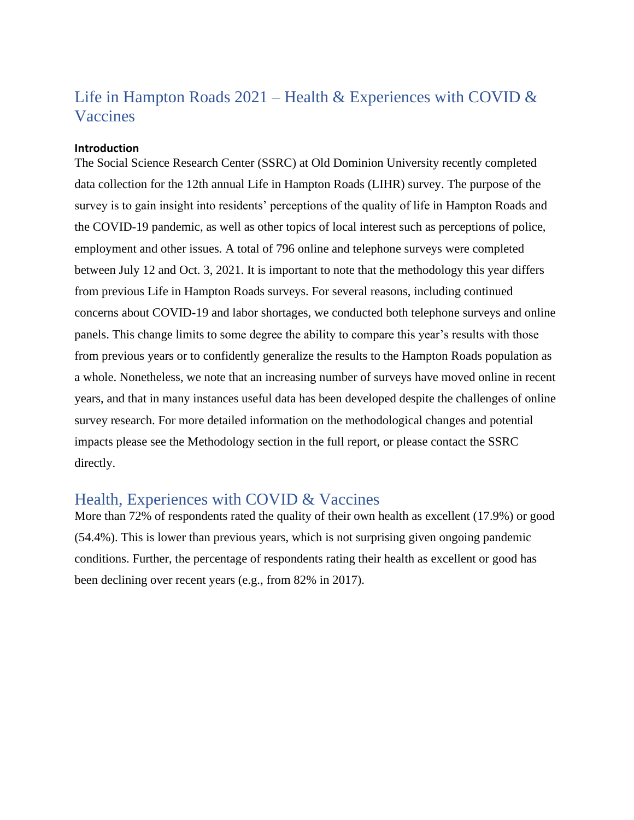# Life in Hampton Roads  $2021$  – Health & Experiences with COVID & **Vaccines**

#### **Introduction**

The Social Science Research Center (SSRC) at Old Dominion University recently completed data collection for the 12th annual Life in Hampton Roads (LIHR) survey. The purpose of the survey is to gain insight into residents' perceptions of the quality of life in Hampton Roads and the COVID-19 pandemic, as well as other topics of local interest such as perceptions of police, employment and other issues. A total of 796 online and telephone surveys were completed between July 12 and Oct. 3, 2021. It is important to note that the methodology this year differs from previous Life in Hampton Roads surveys. For several reasons, including continued concerns about COVID-19 and labor shortages, we conducted both telephone surveys and online panels. This change limits to some degree the ability to compare this year's results with those from previous years or to confidently generalize the results to the Hampton Roads population as a whole. Nonetheless, we note that an increasing number of surveys have moved online in recent years, and that in many instances useful data has been developed despite the challenges of online survey research. For more detailed information on the methodological changes and potential impacts please see the Methodology section in the full report, or please contact the SSRC directly.

## Health, Experiences with COVID & Vaccines

More than 72% of respondents rated the quality of their own health as excellent (17.9%) or good (54.4%). This is lower than previous years, which is not surprising given ongoing pandemic conditions. Further, the percentage of respondents rating their health as excellent or good has been declining over recent years (e.g., from 82% in 2017).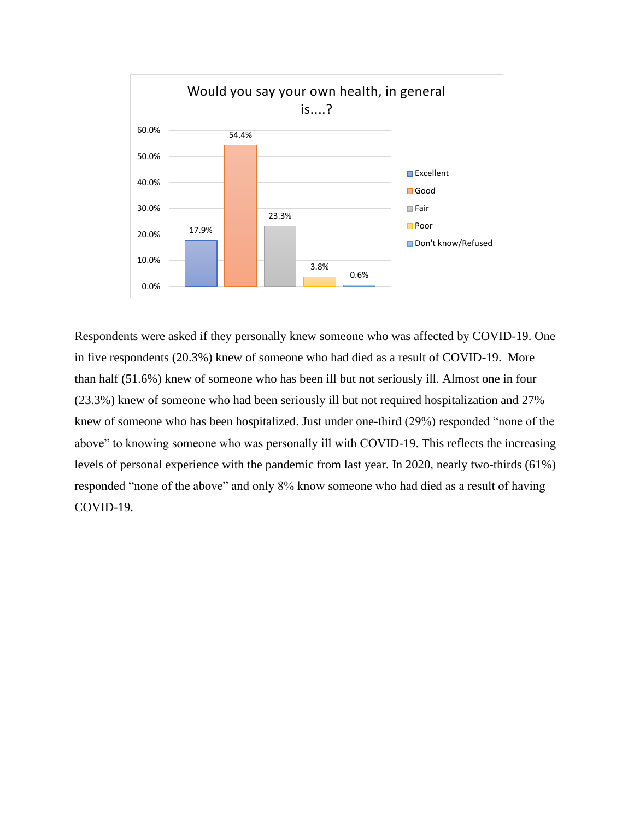

Respondents were asked if they personally knew someone who was affected by COVID-19. One in five respondents (20.3%) knew of someone who had died as a result of COVID-19. More than half (51.6%) knew of someone who has been ill but not seriously ill. Almost one in four (23.3%) knew of someone who had been seriously ill but not required hospitalization and 27% knew of someone who has been hospitalized. Just under one-third (29%) responded "none of the above" to knowing someone who was personally ill with COVID-19. This reflects the increasing levels of personal experience with the pandemic from last year. In 2020, nearly two-thirds (61%) responded "none of the above" and only 8% know someone who had died as a result of having COVID-19.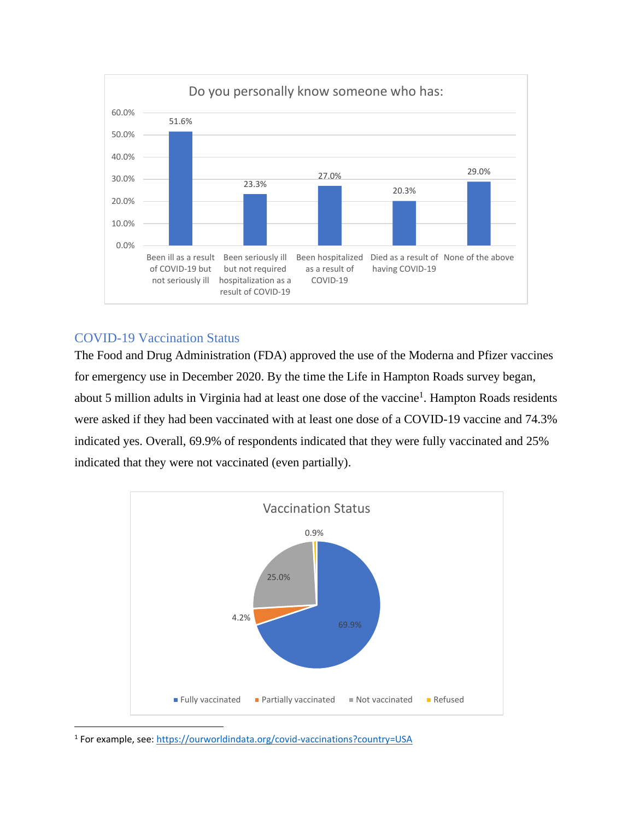

### COVID-19 Vaccination Status

The Food and Drug Administration (FDA) approved the use of the Moderna and Pfizer vaccines for emergency use in December 2020. By the time the Life in Hampton Roads survey began, about 5 million adults in Virginia had at least one dose of the vaccine<sup>1</sup>. Hampton Roads residents were asked if they had been vaccinated with at least one dose of a COVID-19 vaccine and 74.3% indicated yes. Overall, 69.9% of respondents indicated that they were fully vaccinated and 25% indicated that they were not vaccinated (even partially).



<sup>1</sup> For example, see:<https://ourworldindata.org/covid-vaccinations?country=USA>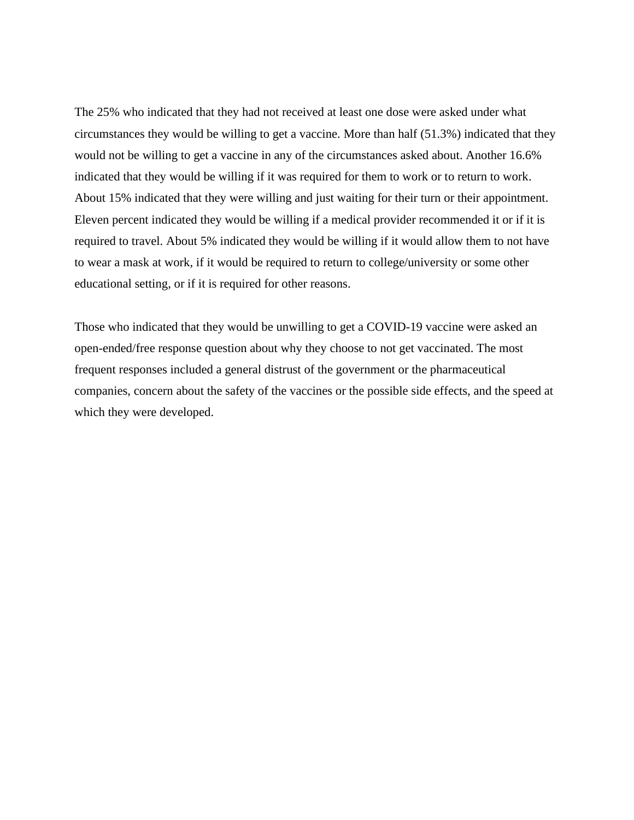The 25% who indicated that they had not received at least one dose were asked under what circumstances they would be willing to get a vaccine. More than half (51.3%) indicated that they would not be willing to get a vaccine in any of the circumstances asked about. Another 16.6% indicated that they would be willing if it was required for them to work or to return to work. About 15% indicated that they were willing and just waiting for their turn or their appointment. Eleven percent indicated they would be willing if a medical provider recommended it or if it is required to travel. About 5% indicated they would be willing if it would allow them to not have to wear a mask at work, if it would be required to return to college/university or some other educational setting, or if it is required for other reasons.

Those who indicated that they would be unwilling to get a COVID-19 vaccine were asked an open-ended/free response question about why they choose to not get vaccinated. The most frequent responses included a general distrust of the government or the pharmaceutical companies, concern about the safety of the vaccines or the possible side effects, and the speed at which they were developed.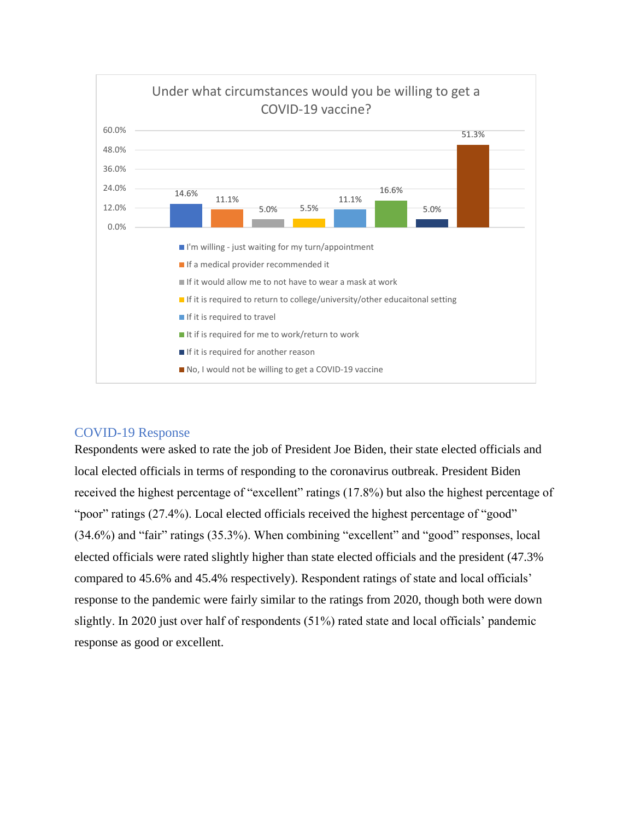

### COVID-19 Response

Respondents were asked to rate the job of President Joe Biden, their state elected officials and local elected officials in terms of responding to the coronavirus outbreak. President Biden received the highest percentage of "excellent" ratings (17.8%) but also the highest percentage of "poor" ratings (27.4%). Local elected officials received the highest percentage of "good" (34.6%) and "fair" ratings (35.3%). When combining "excellent" and "good" responses, local elected officials were rated slightly higher than state elected officials and the president (47.3% compared to 45.6% and 45.4% respectively). Respondent ratings of state and local officials' response to the pandemic were fairly similar to the ratings from 2020, though both were down slightly. In 2020 just over half of respondents (51%) rated state and local officials' pandemic response as good or excellent.